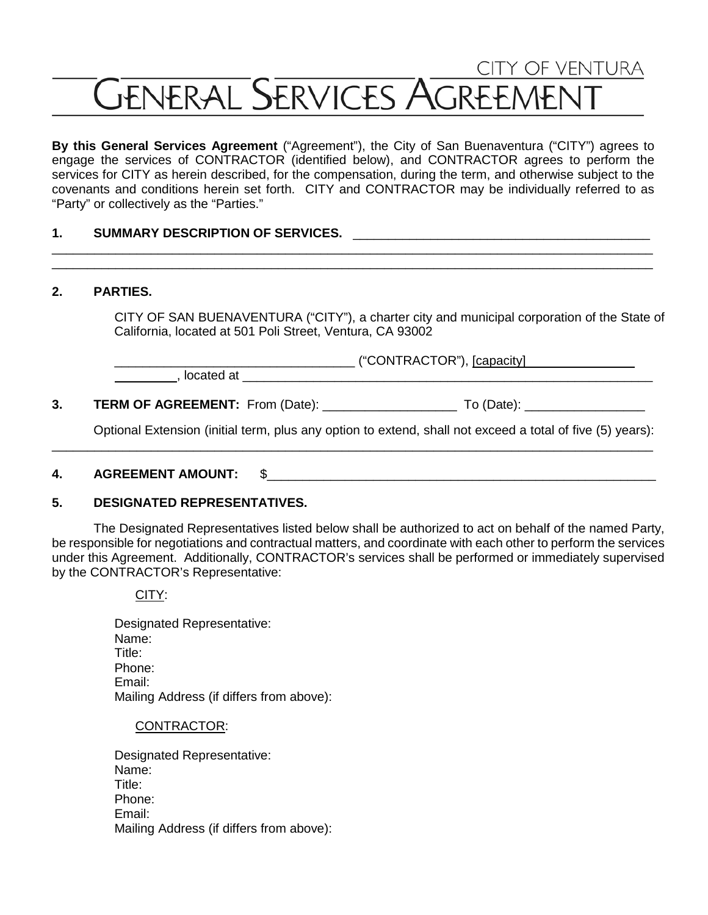# **CITY OF VENTURA GENERAL SERVICES AGREEMENT**

**By this General Services Agreement** ("Agreement"), the City of San Buenaventura ("CITY") agrees to engage the services of CONTRACTOR (identified below), and CONTRACTOR agrees to perform the services for CITY as herein described, for the compensation, during the term, and otherwise subject to the covenants and conditions herein set forth. CITY and CONTRACTOR may be individually referred to as "Party" or collectively as the "Parties."

\_\_\_\_\_\_\_\_\_\_\_\_\_\_\_\_\_\_\_\_\_\_\_\_\_\_\_\_\_\_\_\_\_\_\_\_\_\_\_\_\_\_\_\_\_\_\_\_\_\_\_\_\_\_\_\_\_\_\_\_\_\_\_\_\_\_\_\_\_\_\_\_\_\_\_\_\_\_\_\_\_\_\_\_\_ \_\_\_\_\_\_\_\_\_\_\_\_\_\_\_\_\_\_\_\_\_\_\_\_\_\_\_\_\_\_\_\_\_\_\_\_\_\_\_\_\_\_\_\_\_\_\_\_\_\_\_\_\_\_\_\_\_\_\_\_\_\_\_\_\_\_\_\_\_\_\_\_\_\_\_\_\_\_\_\_\_\_\_\_\_

#### 1. SUMMARY DESCRIPTION OF SERVICES.

#### **2. PARTIES.**

CITY OF SAN BUENAVENTURA ("CITY"), a charter city and municipal corporation of the State of California, located at 501 Poli Street, Ventura, CA 93002

, located at

\_\_\_\_\_\_\_\_\_\_\_\_\_\_\_\_\_\_\_\_\_\_\_\_\_\_\_\_\_\_\_\_\_\_ ("CONTRACTOR"), [capacity]

**3. TERM OF AGREEMENT:** From (Date): \_\_\_\_\_\_\_\_\_\_\_\_\_\_\_\_\_\_\_ To (Date): \_\_\_\_\_\_\_\_\_\_\_\_\_\_\_\_\_

Optional Extension (initial term, plus any option to extend, shall not exceed a total of five (5) years):

\_\_\_\_\_\_\_\_\_\_\_\_\_\_\_\_\_\_\_\_\_\_\_\_\_\_\_\_\_\_\_\_\_\_\_\_\_\_\_\_\_\_\_\_\_\_\_\_\_\_\_\_\_\_\_\_\_\_\_\_\_\_\_\_\_\_\_\_\_\_\_\_\_\_\_\_\_\_\_\_\_\_\_\_\_

#### **4. AGREEMENT AMOUNT:** \$\_\_\_\_\_\_\_\_\_\_\_\_\_\_\_\_\_\_\_\_\_\_\_\_\_\_\_\_\_\_\_\_\_\_\_\_\_\_\_\_\_\_\_\_\_\_\_\_\_\_\_\_\_\_\_

#### **5. DESIGNATED REPRESENTATIVES.**

The Designated Representatives listed below shall be authorized to act on behalf of the named Party, be responsible for negotiations and contractual matters, and coordinate with each other to perform the services under this Agreement. Additionally, CONTRACTOR's services shall be performed or immediately supervised by the CONTRACTOR's Representative:

CITY:

Designated Representative: Name: Title: Phone: Email: Mailing Address (if differs from above):

#### CONTRACTOR:

Designated Representative: Name: Title: Phone: Email: Mailing Address (if differs from above):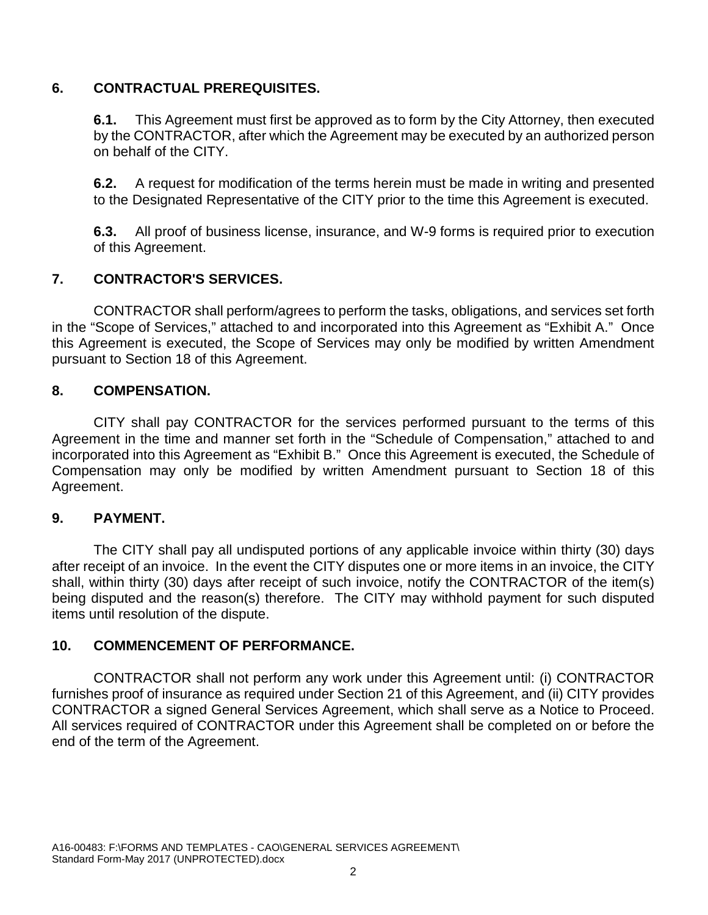## **6. CONTRACTUAL PREREQUISITES.**

**6.1.** This Agreement must first be approved as to form by the City Attorney, then executed by the CONTRACTOR, after which the Agreement may be executed by an authorized person on behalf of the CITY.

**6.2.** A request for modification of the terms herein must be made in writing and presented to the Designated Representative of the CITY prior to the time this Agreement is executed.

**6.3.** All proof of business license, insurance, and W-9 forms is required prior to execution of this Agreement.

# **7. CONTRACTOR'S SERVICES.**

CONTRACTOR shall perform/agrees to perform the tasks, obligations, and services set forth in the "Scope of Services," attached to and incorporated into this Agreement as "Exhibit A." Once this Agreement is executed, the Scope of Services may only be modified by written Amendment pursuant to Section 18 of this Agreement.

# **8. COMPENSATION.**

CITY shall pay CONTRACTOR for the services performed pursuant to the terms of this Agreement in the time and manner set forth in the "Schedule of Compensation," attached to and incorporated into this Agreement as "Exhibit B." Once this Agreement is executed, the Schedule of Compensation may only be modified by written Amendment pursuant to Section 18 of this Agreement.

## **9. PAYMENT.**

The CITY shall pay all undisputed portions of any applicable invoice within thirty (30) days after receipt of an invoice. In the event the CITY disputes one or more items in an invoice, the CITY shall, within thirty (30) days after receipt of such invoice, notify the CONTRACTOR of the item(s) being disputed and the reason(s) therefore. The CITY may withhold payment for such disputed items until resolution of the dispute.

## **10. COMMENCEMENT OF PERFORMANCE.**

CONTRACTOR shall not perform any work under this Agreement until: (i) CONTRACTOR furnishes proof of insurance as required under Section 21 of this Agreement, and (ii) CITY provides CONTRACTOR a signed General Services Agreement, which shall serve as a Notice to Proceed. All services required of CONTRACTOR under this Agreement shall be completed on or before the end of the term of the Agreement.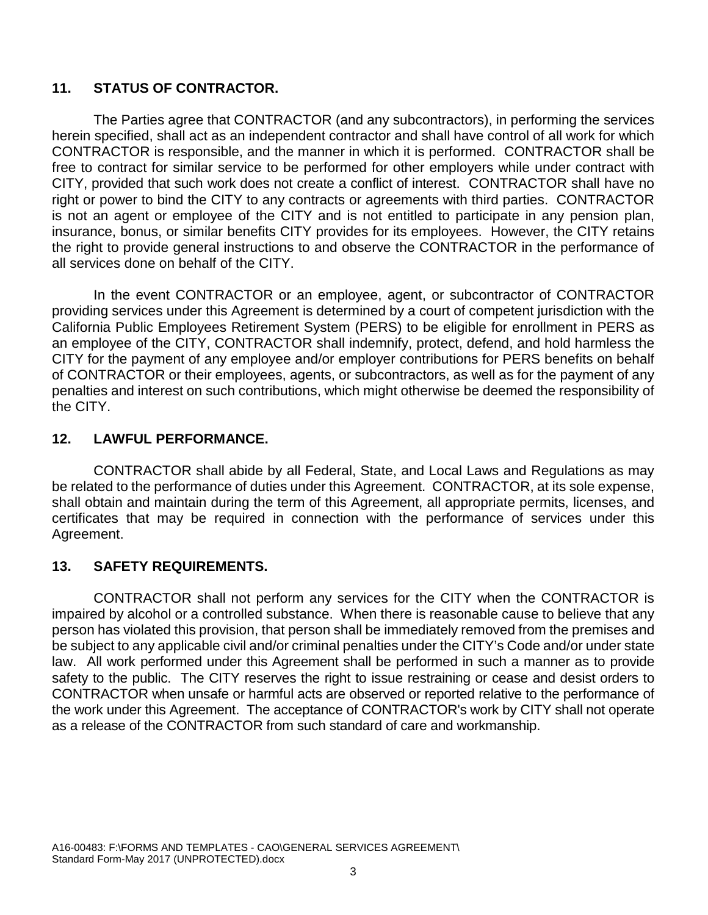# **11. STATUS OF CONTRACTOR.**

The Parties agree that CONTRACTOR (and any subcontractors), in performing the services herein specified, shall act as an independent contractor and shall have control of all work for which CONTRACTOR is responsible, and the manner in which it is performed. CONTRACTOR shall be free to contract for similar service to be performed for other employers while under contract with CITY, provided that such work does not create a conflict of interest. CONTRACTOR shall have no right or power to bind the CITY to any contracts or agreements with third parties. CONTRACTOR is not an agent or employee of the CITY and is not entitled to participate in any pension plan, insurance, bonus, or similar benefits CITY provides for its employees. However, the CITY retains the right to provide general instructions to and observe the CONTRACTOR in the performance of all services done on behalf of the CITY.

In the event CONTRACTOR or an employee, agent, or subcontractor of CONTRACTOR providing services under this Agreement is determined by a court of competent jurisdiction with the California Public Employees Retirement System (PERS) to be eligible for enrollment in PERS as an employee of the CITY, CONTRACTOR shall indemnify, protect, defend, and hold harmless the CITY for the payment of any employee and/or employer contributions for PERS benefits on behalf of CONTRACTOR or their employees, agents, or subcontractors, as well as for the payment of any penalties and interest on such contributions, which might otherwise be deemed the responsibility of the CITY.

## **12. LAWFUL PERFORMANCE.**

CONTRACTOR shall abide by all Federal, State, and Local Laws and Regulations as may be related to the performance of duties under this Agreement. CONTRACTOR, at its sole expense, shall obtain and maintain during the term of this Agreement, all appropriate permits, licenses, and certificates that may be required in connection with the performance of services under this Agreement.

## **13. SAFETY REQUIREMENTS.**

CONTRACTOR shall not perform any services for the CITY when the CONTRACTOR is impaired by alcohol or a controlled substance. When there is reasonable cause to believe that any person has violated this provision, that person shall be immediately removed from the premises and be subject to any applicable civil and/or criminal penalties under the CITY's Code and/or under state law.All work performed under this Agreement shall be performed in such a manner as to provide safety to the public. The CITY reserves the right to issue restraining or cease and desist orders to CONTRACTOR when unsafe or harmful acts are observed or reported relative to the performance of the work under this Agreement. The acceptance of CONTRACTOR's work by CITY shall not operate as a release of the CONTRACTOR from such standard of care and workmanship.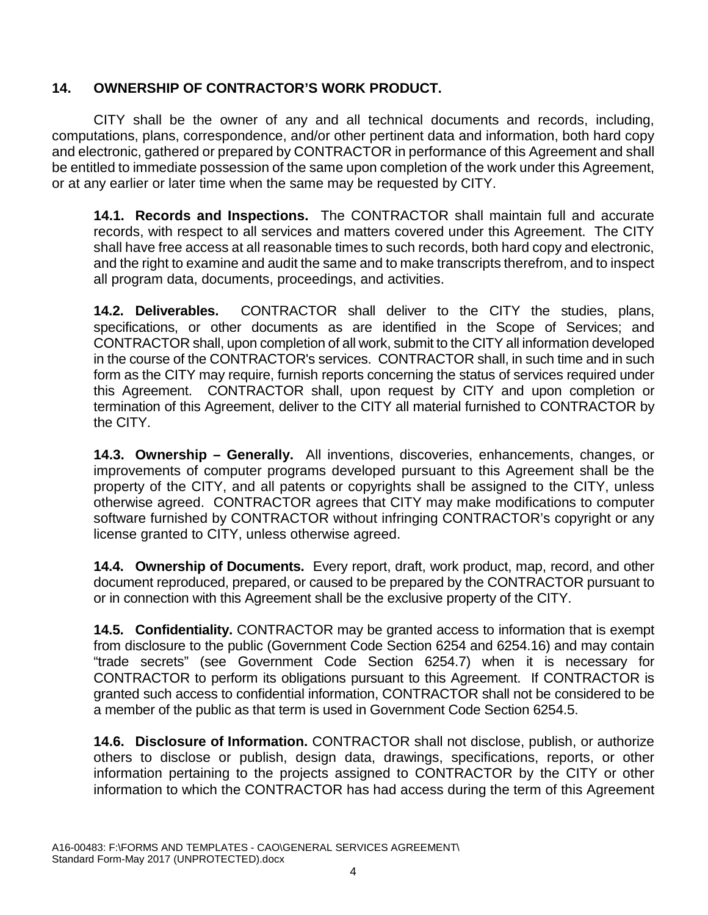# **14. OWNERSHIP OF CONTRACTOR'S WORK PRODUCT.**

CITY shall be the owner of any and all technical documents and records, including, computations, plans, correspondence, and/or other pertinent data and information, both hard copy and electronic, gathered or prepared by CONTRACTOR in performance of this Agreement and shall be entitled to immediate possession of the same upon completion of the work under this Agreement, or at any earlier or later time when the same may be requested by CITY.

**14.1. Records and Inspections.** The CONTRACTOR shall maintain full and accurate records, with respect to all services and matters covered under this Agreement. The CITY shall have free access at all reasonable times to such records, both hard copy and electronic, and the right to examine and audit the same and to make transcripts therefrom, and to inspect all program data, documents, proceedings, and activities.

**14.2. Deliverables.** CONTRACTOR shall deliver to the CITY the studies, plans, specifications, or other documents as are identified in the Scope of Services; and CONTRACTOR shall, upon completion of all work, submit to the CITY all information developed in the course of the CONTRACTOR's services. CONTRACTOR shall, in such time and in such form as the CITY may require, furnish reports concerning the status of services required under this Agreement. CONTRACTOR shall, upon request by CITY and upon completion or termination of this Agreement, deliver to the CITY all material furnished to CONTRACTOR by the CITY.

**14.3. Ownership – Generally.** All inventions, discoveries, enhancements, changes, or improvements of computer programs developed pursuant to this Agreement shall be the property of the CITY, and all patents or copyrights shall be assigned to the CITY, unless otherwise agreed. CONTRACTOR agrees that CITY may make modifications to computer software furnished by CONTRACTOR without infringing CONTRACTOR's copyright or any license granted to CITY, unless otherwise agreed.

**14.4. Ownership of Documents.** Every report, draft, work product, map, record, and other document reproduced, prepared, or caused to be prepared by the CONTRACTOR pursuant to or in connection with this Agreement shall be the exclusive property of the CITY.

**14.5. Confidentiality.** CONTRACTOR may be granted access to information that is exempt from disclosure to the public (Government Code Section 6254 and 6254.16) and may contain "trade secrets" (see Government Code Section 6254.7) when it is necessary for CONTRACTOR to perform its obligations pursuant to this Agreement. If CONTRACTOR is granted such access to confidential information, CONTRACTOR shall not be considered to be a member of the public as that term is used in Government Code Section 6254.5.

**14.6. Disclosure of Information.** CONTRACTOR shall not disclose, publish, or authorize others to disclose or publish, design data, drawings, specifications, reports, or other information pertaining to the projects assigned to CONTRACTOR by the CITY or other information to which the CONTRACTOR has had access during the term of this Agreement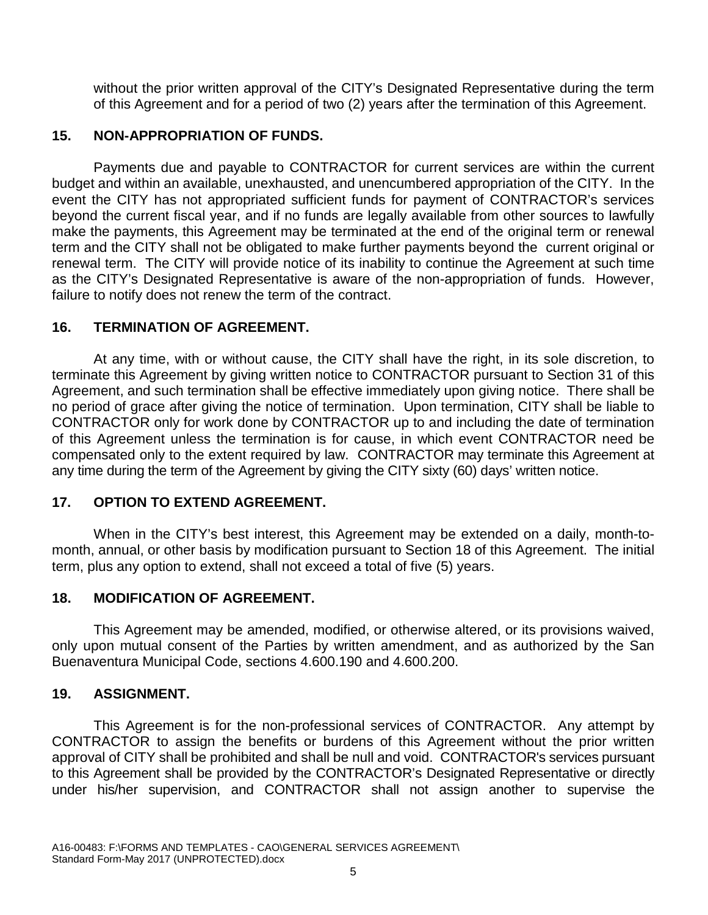without the prior written approval of the CITY's Designated Representative during the term of this Agreement and for a period of two (2) years after the termination of this Agreement.

#### **15. NON-APPROPRIATION OF FUNDS.**

Payments due and payable to CONTRACTOR for current services are within the current budget and within an available, unexhausted, and unencumbered appropriation of the CITY. In the event the CITY has not appropriated sufficient funds for payment of CONTRACTOR's services beyond the current fiscal year, and if no funds are legally available from other sources to lawfully make the payments, this Agreement may be terminated at the end of the original term or renewal term and the CITY shall not be obligated to make further payments beyond the current original or renewal term. The CITY will provide notice of its inability to continue the Agreement at such time as the CITY's Designated Representative is aware of the non-appropriation of funds. However, failure to notify does not renew the term of the contract.

### **16. TERMINATION OF AGREEMENT.**

At any time, with or without cause, the CITY shall have the right, in its sole discretion, to terminate this Agreement by giving written notice to CONTRACTOR pursuant to Section 31 of this Agreement, and such termination shall be effective immediately upon giving notice. There shall be no period of grace after giving the notice of termination. Upon termination, CITY shall be liable to CONTRACTOR only for work done by CONTRACTOR up to and including the date of termination of this Agreement unless the termination is for cause, in which event CONTRACTOR need be compensated only to the extent required by law. CONTRACTOR may terminate this Agreement at any time during the term of the Agreement by giving the CITY sixty (60) days' written notice.

## **17. OPTION TO EXTEND AGREEMENT.**

When in the CITY's best interest, this Agreement may be extended on a daily, month-tomonth, annual, or other basis by modification pursuant to Section 18 of this Agreement. The initial term, plus any option to extend, shall not exceed a total of five (5) years.

## **18. MODIFICATION OF AGREEMENT.**

This Agreement may be amended, modified, or otherwise altered, or its provisions waived, only upon mutual consent of the Parties by written amendment, and as authorized by the San Buenaventura Municipal Code, sections 4.600.190 and 4.600.200.

## **19. ASSIGNMENT.**

This Agreement is for the non-professional services of CONTRACTOR. Any attempt by CONTRACTOR to assign the benefits or burdens of this Agreement without the prior written approval of CITY shall be prohibited and shall be null and void. CONTRACTOR's services pursuant to this Agreement shall be provided by the CONTRACTOR's Designated Representative or directly under his/her supervision, and CONTRACTOR shall not assign another to supervise the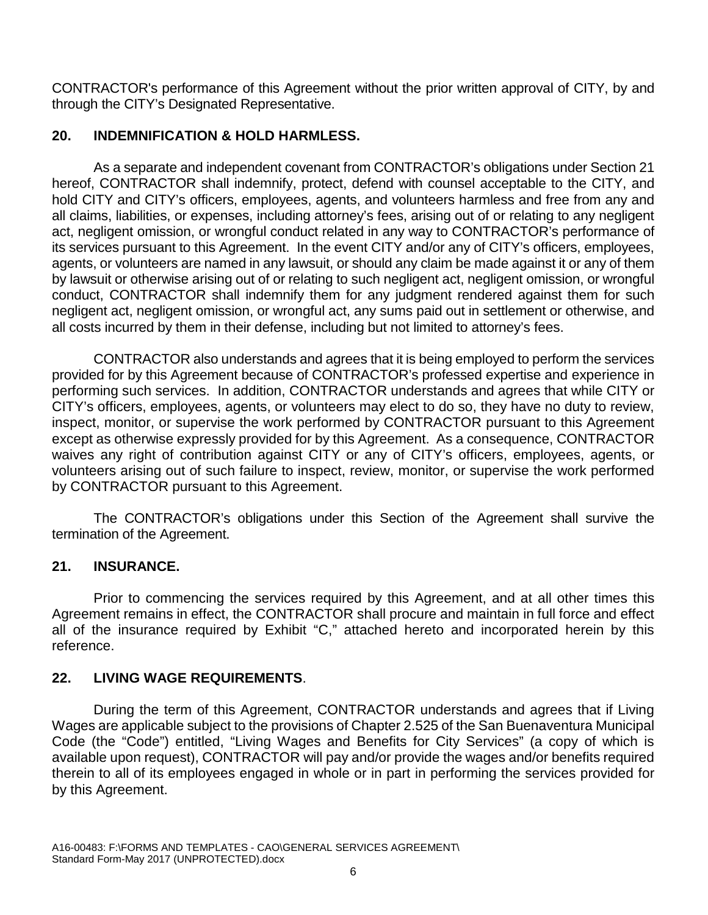CONTRACTOR's performance of this Agreement without the prior written approval of CITY, by and through the CITY's Designated Representative.

## **20. INDEMNIFICATION & HOLD HARMLESS.**

As a separate and independent covenant from CONTRACTOR's obligations under Section 21 hereof, CONTRACTOR shall indemnify, protect, defend with counsel acceptable to the CITY, and hold CITY and CITY's officers, employees, agents, and volunteers harmless and free from any and all claims, liabilities, or expenses, including attorney's fees, arising out of or relating to any negligent act, negligent omission, or wrongful conduct related in any way to CONTRACTOR's performance of its services pursuant to this Agreement. In the event CITY and/or any of CITY's officers, employees, agents, or volunteers are named in any lawsuit, or should any claim be made against it or any of them by lawsuit or otherwise arising out of or relating to such negligent act, negligent omission, or wrongful conduct, CONTRACTOR shall indemnify them for any judgment rendered against them for such negligent act, negligent omission, or wrongful act, any sums paid out in settlement or otherwise, and all costs incurred by them in their defense, including but not limited to attorney's fees.

CONTRACTOR also understands and agrees that it is being employed to perform the services provided for by this Agreement because of CONTRACTOR's professed expertise and experience in performing such services. In addition, CONTRACTOR understands and agrees that while CITY or CITY's officers, employees, agents, or volunteers may elect to do so, they have no duty to review, inspect, monitor, or supervise the work performed by CONTRACTOR pursuant to this Agreement except as otherwise expressly provided for by this Agreement. As a consequence, CONTRACTOR waives any right of contribution against CITY or any of CITY's officers, employees, agents, or volunteers arising out of such failure to inspect, review, monitor, or supervise the work performed by CONTRACTOR pursuant to this Agreement.

The CONTRACTOR's obligations under this Section of the Agreement shall survive the termination of the Agreement.

#### **21. INSURANCE.**

Prior to commencing the services required by this Agreement, and at all other times this Agreement remains in effect, the CONTRACTOR shall procure and maintain in full force and effect all of the insurance required by Exhibit "C," attached hereto and incorporated herein by this reference.

## **22. LIVING WAGE REQUIREMENTS**.

During the term of this Agreement, CONTRACTOR understands and agrees that if Living Wages are applicable subject to the provisions of Chapter 2.525 of the San Buenaventura Municipal Code (the "Code") entitled, "Living Wages and Benefits for City Services" (a copy of which is available upon request), CONTRACTOR will pay and/or provide the wages and/or benefits required therein to all of its employees engaged in whole or in part in performing the services provided for by this Agreement.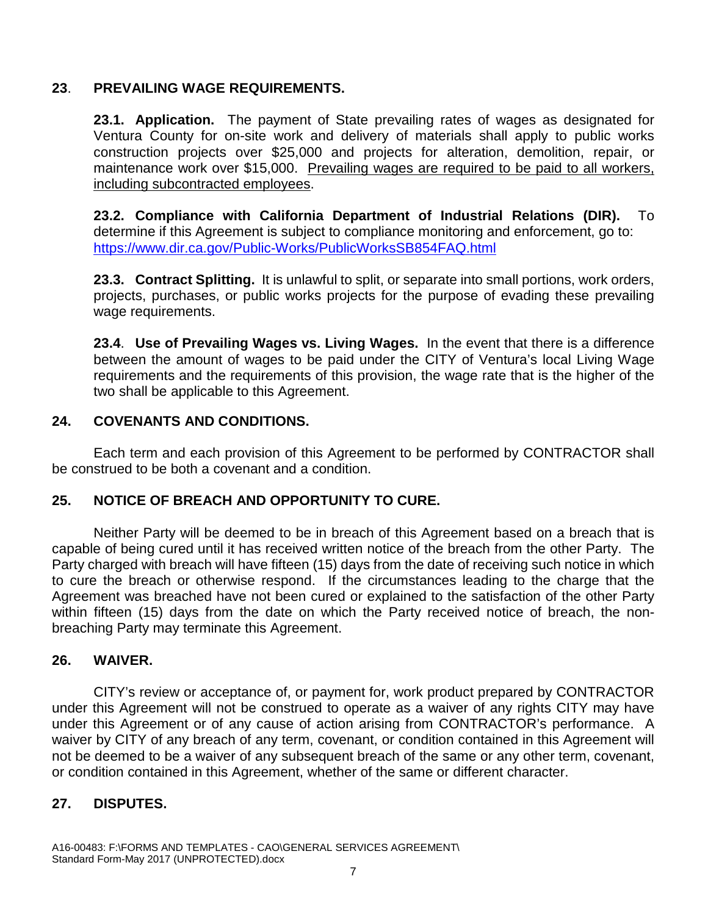## **23**. **PREVAILING WAGE REQUIREMENTS.**

**23.1. Application.** The payment of State prevailing rates of wages as designated for Ventura County for on-site work and delivery of materials shall apply to public works construction projects over \$25,000 and projects for alteration, demolition, repair, or maintenance work over \$15,000. Prevailing wages are required to be paid to all workers, including subcontracted employees.

**23.2. Compliance with California Department of Industrial Relations (DIR).** To determine if this Agreement is subject to compliance monitoring and enforcement, go to: <https://www.dir.ca.gov/Public-Works/PublicWorksSB854FAQ.html>

**23.3. Contract Splitting.** It is unlawful to split, or separate into small portions, work orders, projects, purchases, or public works projects for the purpose of evading these prevailing wage requirements.

**23.4**. **Use of Prevailing Wages vs. Living Wages.** In the event that there is a difference between the amount of wages to be paid under the CITY of Ventura's local Living Wage requirements and the requirements of this provision, the wage rate that is the higher of the two shall be applicable to this Agreement.

### **24. COVENANTS AND CONDITIONS.**

Each term and each provision of this Agreement to be performed by CONTRACTOR shall be construed to be both a covenant and a condition.

#### **25. NOTICE OF BREACH AND OPPORTUNITY TO CURE.**

Neither Party will be deemed to be in breach of this Agreement based on a breach that is capable of being cured until it has received written notice of the breach from the other Party. The Party charged with breach will have fifteen (15) days from the date of receiving such notice in which to cure the breach or otherwise respond. If the circumstances leading to the charge that the Agreement was breached have not been cured or explained to the satisfaction of the other Party within fifteen (15) days from the date on which the Party received notice of breach, the nonbreaching Party may terminate this Agreement.

#### **26. WAIVER.**

CITY's review or acceptance of, or payment for, work product prepared by CONTRACTOR under this Agreement will not be construed to operate as a waiver of any rights CITY may have under this Agreement or of any cause of action arising from CONTRACTOR's performance. A waiver by CITY of any breach of any term, covenant, or condition contained in this Agreement will not be deemed to be a waiver of any subsequent breach of the same or any other term, covenant, or condition contained in this Agreement, whether of the same or different character.

## **27. DISPUTES.**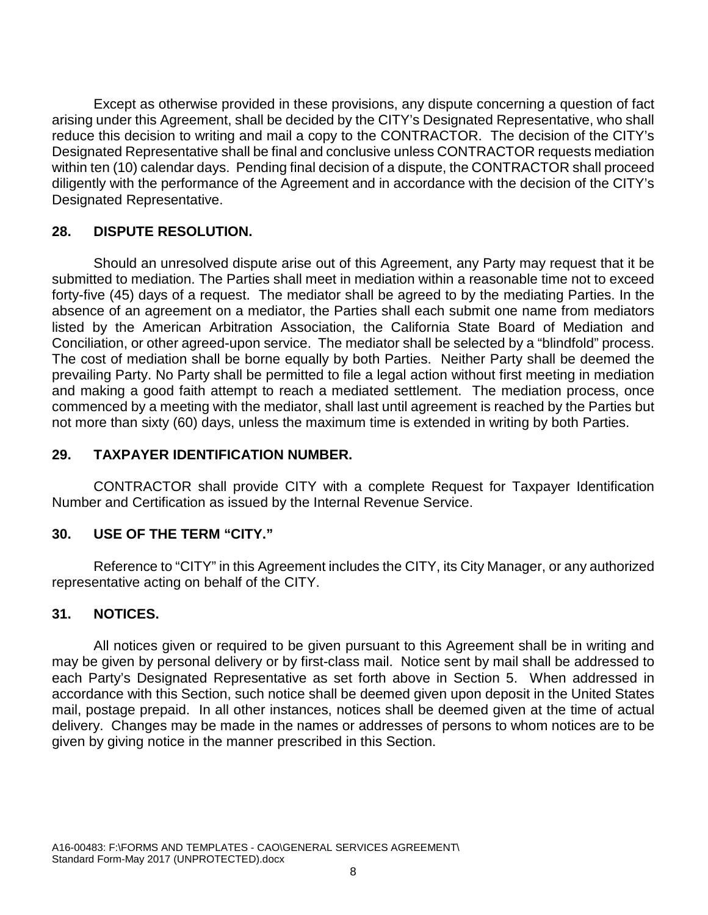Except as otherwise provided in these provisions, any dispute concerning a question of fact arising under this Agreement, shall be decided by the CITY's Designated Representative, who shall reduce this decision to writing and mail a copy to the CONTRACTOR. The decision of the CITY's Designated Representative shall be final and conclusive unless CONTRACTOR requests mediation within ten (10) calendar days. Pending final decision of a dispute, the CONTRACTOR shall proceed diligently with the performance of the Agreement and in accordance with the decision of the CITY's Designated Representative.

## **28. DISPUTE RESOLUTION.**

Should an unresolved dispute arise out of this Agreement, any Party may request that it be submitted to mediation. The Parties shall meet in mediation within a reasonable time not to exceed forty-five (45) days of a request. The mediator shall be agreed to by the mediating Parties. In the absence of an agreement on a mediator, the Parties shall each submit one name from mediators listed by the American Arbitration Association, the California State Board of Mediation and Conciliation, or other agreed-upon service. The mediator shall be selected by a "blindfold" process. The cost of mediation shall be borne equally by both Parties. Neither Party shall be deemed the prevailing Party. No Party shall be permitted to file a legal action without first meeting in mediation and making a good faith attempt to reach a mediated settlement. The mediation process, once commenced by a meeting with the mediator, shall last until agreement is reached by the Parties but not more than sixty (60) days, unless the maximum time is extended in writing by both Parties.

## **29. TAXPAYER IDENTIFICATION NUMBER.**

CONTRACTOR shall provide CITY with a complete Request for Taxpayer Identification Number and Certification as issued by the Internal Revenue Service.

#### **30. USE OF THE TERM "CITY."**

Reference to "CITY" in this Agreement includes the CITY, its City Manager, or any authorized representative acting on behalf of the CITY.

#### **31. NOTICES.**

All notices given or required to be given pursuant to this Agreement shall be in writing and may be given by personal delivery or by first-class mail. Notice sent by mail shall be addressed to each Party's Designated Representative as set forth above in Section 5. When addressed in accordance with this Section, such notice shall be deemed given upon deposit in the United States mail, postage prepaid. In all other instances, notices shall be deemed given at the time of actual delivery. Changes may be made in the names or addresses of persons to whom notices are to be given by giving notice in the manner prescribed in this Section.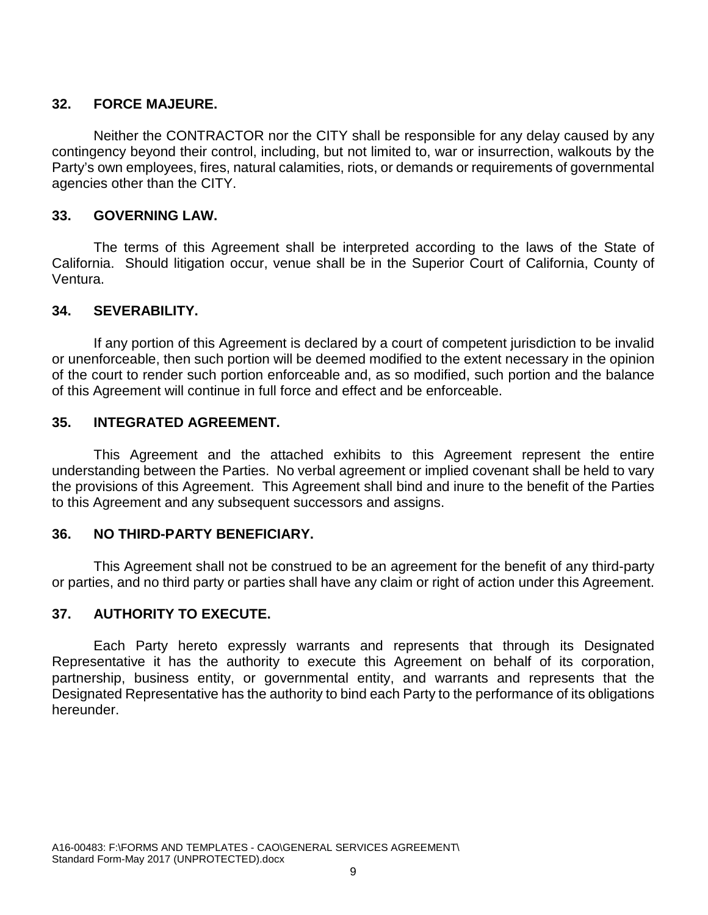## **32. FORCE MAJEURE.**

Neither the CONTRACTOR nor the CITY shall be responsible for any delay caused by any contingency beyond their control, including, but not limited to, war or insurrection, walkouts by the Party's own employees, fires, natural calamities, riots, or demands or requirements of governmental agencies other than the CITY.

### **33. GOVERNING LAW.**

The terms of this Agreement shall be interpreted according to the laws of the State of California. Should litigation occur, venue shall be in the Superior Court of California, County of Ventura.

## **34. SEVERABILITY.**

If any portion of this Agreement is declared by a court of competent jurisdiction to be invalid or unenforceable, then such portion will be deemed modified to the extent necessary in the opinion of the court to render such portion enforceable and, as so modified, such portion and the balance of this Agreement will continue in full force and effect and be enforceable.

#### **35. INTEGRATED AGREEMENT.**

This Agreement and the attached exhibits to this Agreement represent the entire understanding between the Parties. No verbal agreement or implied covenant shall be held to vary the provisions of this Agreement. This Agreement shall bind and inure to the benefit of the Parties to this Agreement and any subsequent successors and assigns.

#### **36. NO THIRD-PARTY BENEFICIARY.**

This Agreement shall not be construed to be an agreement for the benefit of any third-party or parties, and no third party or parties shall have any claim or right of action under this Agreement.

#### **37. AUTHORITY TO EXECUTE.**

Each Party hereto expressly warrants and represents that through its Designated Representative it has the authority to execute this Agreement on behalf of its corporation, partnership, business entity, or governmental entity, and warrants and represents that the Designated Representative has the authority to bind each Party to the performance of its obligations hereunder.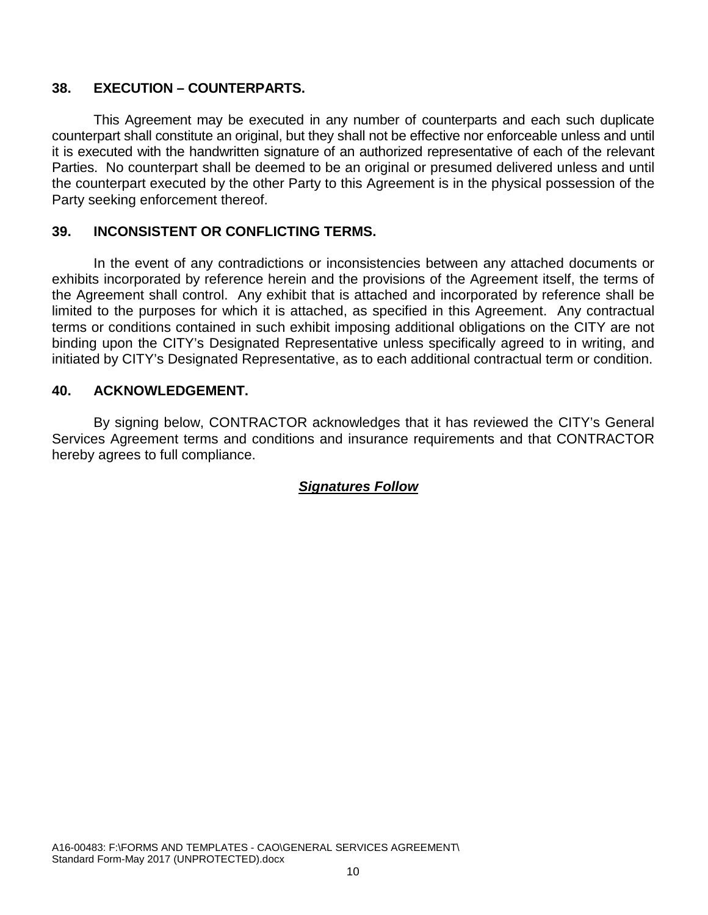## **38. EXECUTION – COUNTERPARTS.**

This Agreement may be executed in any number of counterparts and each such duplicate counterpart shall constitute an original, but they shall not be effective nor enforceable unless and until it is executed with the handwritten signature of an authorized representative of each of the relevant Parties. No counterpart shall be deemed to be an original or presumed delivered unless and until the counterpart executed by the other Party to this Agreement is in the physical possession of the Party seeking enforcement thereof.

#### **39. INCONSISTENT OR CONFLICTING TERMS.**

In the event of any contradictions or inconsistencies between any attached documents or exhibits incorporated by reference herein and the provisions of the Agreement itself, the terms of the Agreement shall control. Any exhibit that is attached and incorporated by reference shall be limited to the purposes for which it is attached, as specified in this Agreement. Any contractual terms or conditions contained in such exhibit imposing additional obligations on the CITY are not binding upon the CITY's Designated Representative unless specifically agreed to in writing, and initiated by CITY's Designated Representative, as to each additional contractual term or condition.

### **40. ACKNOWLEDGEMENT.**

By signing below, CONTRACTOR acknowledges that it has reviewed the CITY's General Services Agreement terms and conditions and insurance requirements and that CONTRACTOR hereby agrees to full compliance.

## *Signatures Follow*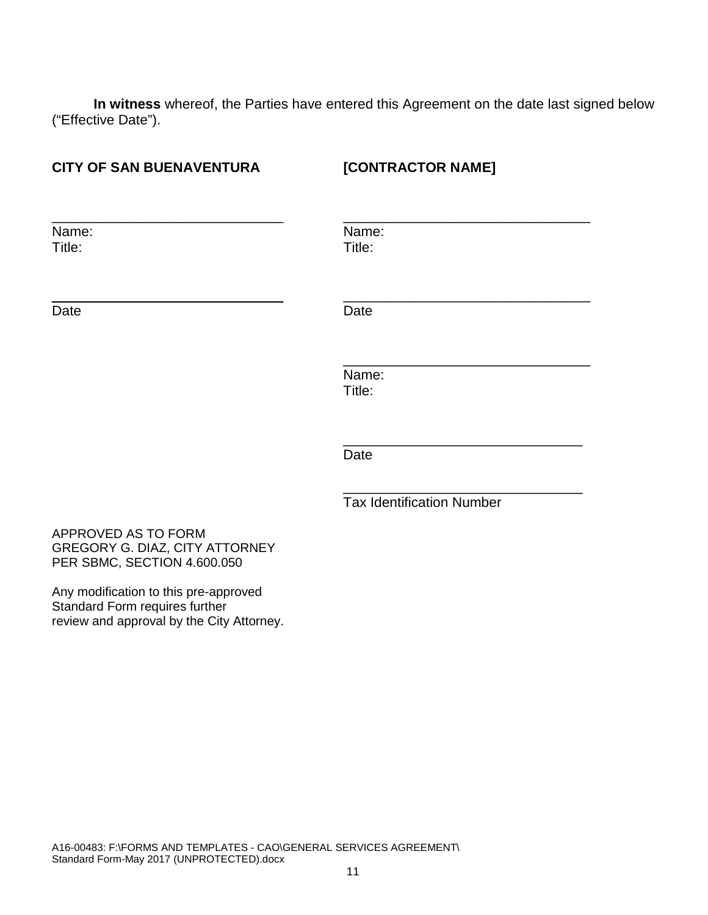**In witness** whereof, the Parties have entered this Agreement on the date last signed below ("Effective Date").

| <b>CITY OF SAN BUENAVENTURA</b>                                                      | [CONTRACTOR NAME]                |  |
|--------------------------------------------------------------------------------------|----------------------------------|--|
| Name:<br>Title:                                                                      | Name:<br>Title:                  |  |
| Date                                                                                 | Date                             |  |
|                                                                                      | Name:<br>Title:                  |  |
|                                                                                      | Date                             |  |
|                                                                                      | <b>Tax Identification Number</b> |  |
| APPROVED AS TO FORM<br>GREGORY G. DIAZ, CITY ATTORNEY<br>PER SBMC, SECTION 4.600.050 |                                  |  |
| $\mathbf{A}$ and $\mathbf{B}$ and $\mathbf{A}$ and $\mathbf{A}$ and $\mathbf{A}$     |                                  |  |

Any modification to this pre-approved Standard Form requires further review and approval by the City Attorney.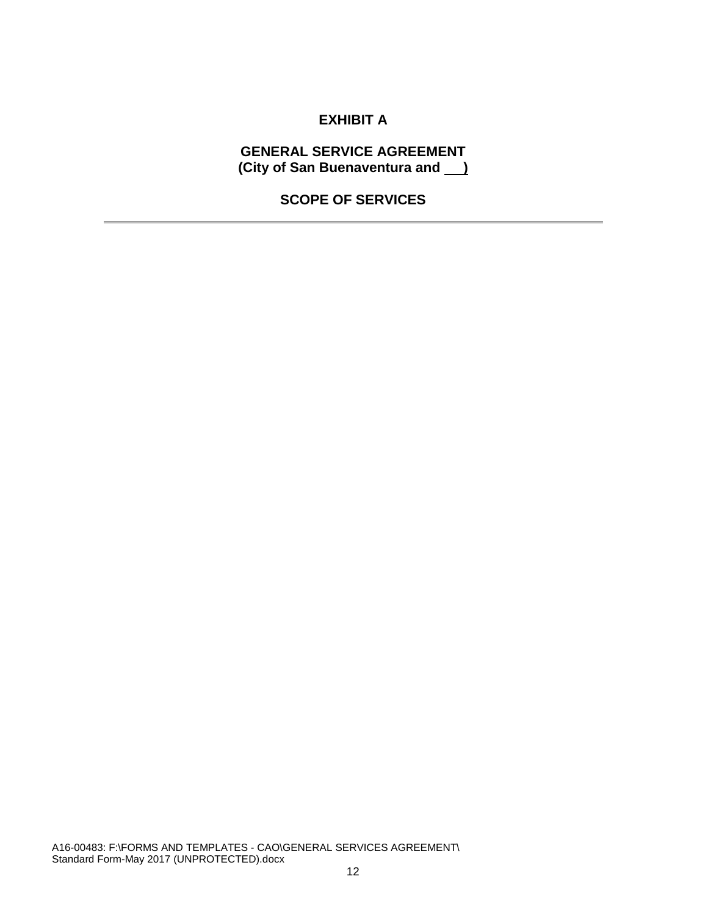# **EXHIBIT A**

#### **GENERAL SERVICE AGREEMENT (City of San Buenaventura and )**

## **SCOPE OF SERVICES**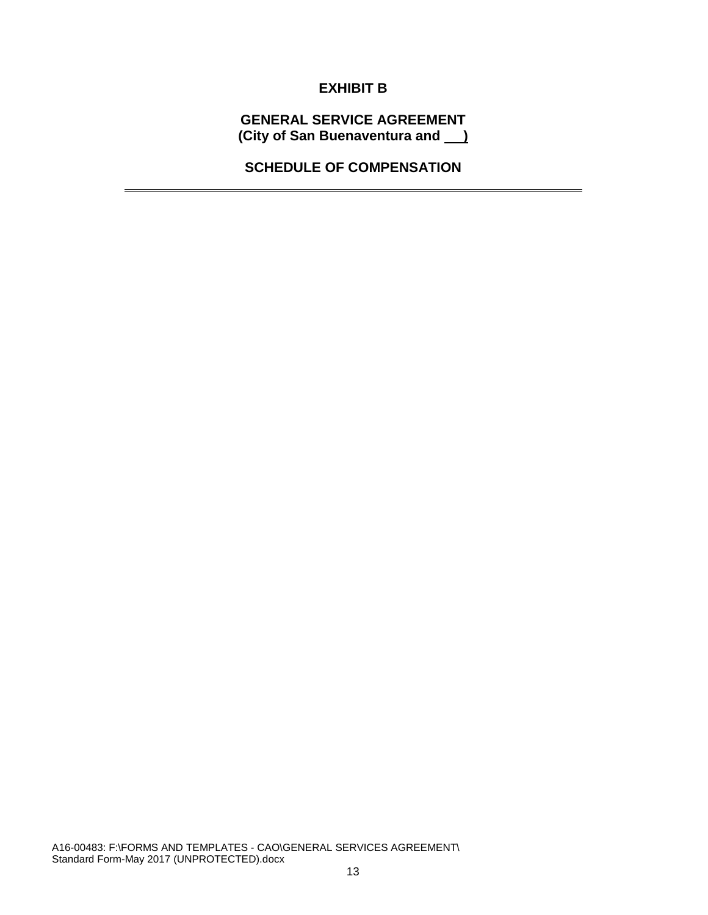# **EXHIBIT B**

**GENERAL SERVICE AGREEMENT (City of San Buenaventura and )** 

**SCHEDULE OF COMPENSATION**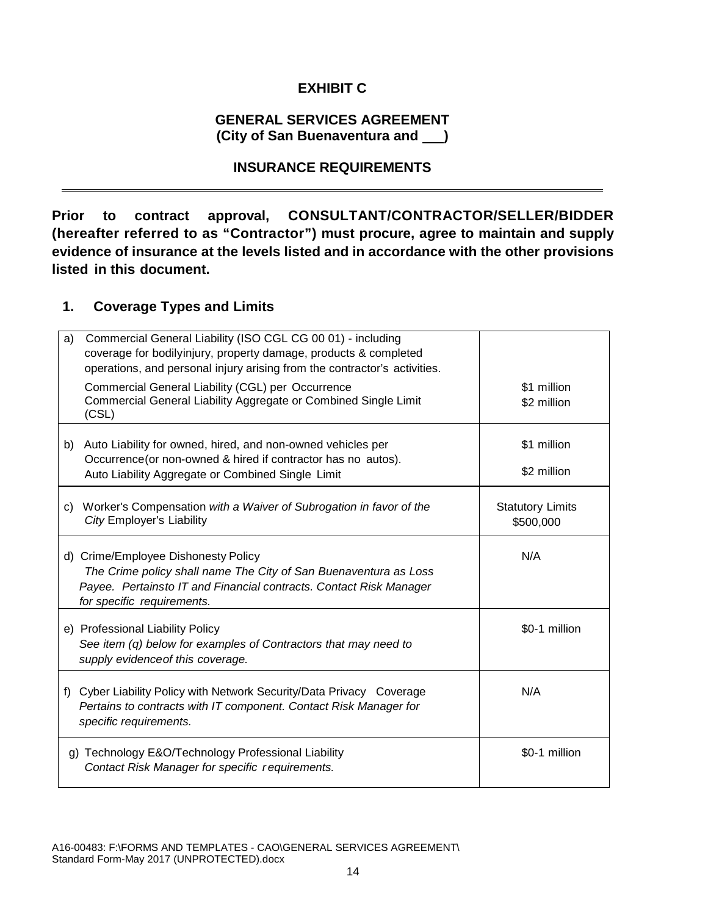# **EXHIBIT C**

#### **GENERAL SERVICES AGREEMENT (City of San Buenaventura and )**

#### **INSURANCE REQUIREMENTS**

**Prior to contract approval, CONSULTANT/CONTRACTOR/SELLER/BIDDER (hereafter referred to as "Contractor") must procure, agree to maintain and supply evidence of insurance at the levels listed and in accordance with the other provisions listed in this document.**

### **1. Coverage Types and Limits**

| Commercial General Liability (ISO CGL CG 00 01) - including<br>a)<br>coverage for bodilyinjury, property damage, products & completed<br>operations, and personal injury arising from the contractor's activities. |                                      |
|--------------------------------------------------------------------------------------------------------------------------------------------------------------------------------------------------------------------|--------------------------------------|
| Commercial General Liability (CGL) per Occurrence<br>Commercial General Liability Aggregate or Combined Single Limit<br>(CSL)                                                                                      | \$1 million<br>\$2 million           |
| b) Auto Liability for owned, hired, and non-owned vehicles per<br>Occurrence (or non-owned & hired if contractor has no autos).<br>Auto Liability Aggregate or Combined Single Limit                               | \$1 million<br>\$2 million           |
| c) Worker's Compensation with a Waiver of Subrogation in favor of the<br>City Employer's Liability                                                                                                                 | <b>Statutory Limits</b><br>\$500,000 |
| d) Crime/Employee Dishonesty Policy<br>The Crime policy shall name The City of San Buenaventura as Loss<br>Payee. Pertainsto IT and Financial contracts. Contact Risk Manager<br>for specific requirements.        | N/A                                  |
| e) Professional Liability Policy<br>See item (q) below for examples of Contractors that may need to<br>supply evidence of this coverage.                                                                           | \$0-1 million                        |
| Cyber Liability Policy with Network Security/Data Privacy Coverage<br>f)<br>Pertains to contracts with IT component. Contact Risk Manager for<br>specific requirements.                                            | N/A                                  |
| g) Technology E&O/Technology Professional Liability<br>Contact Risk Manager for specific requirements.                                                                                                             | \$0-1 million                        |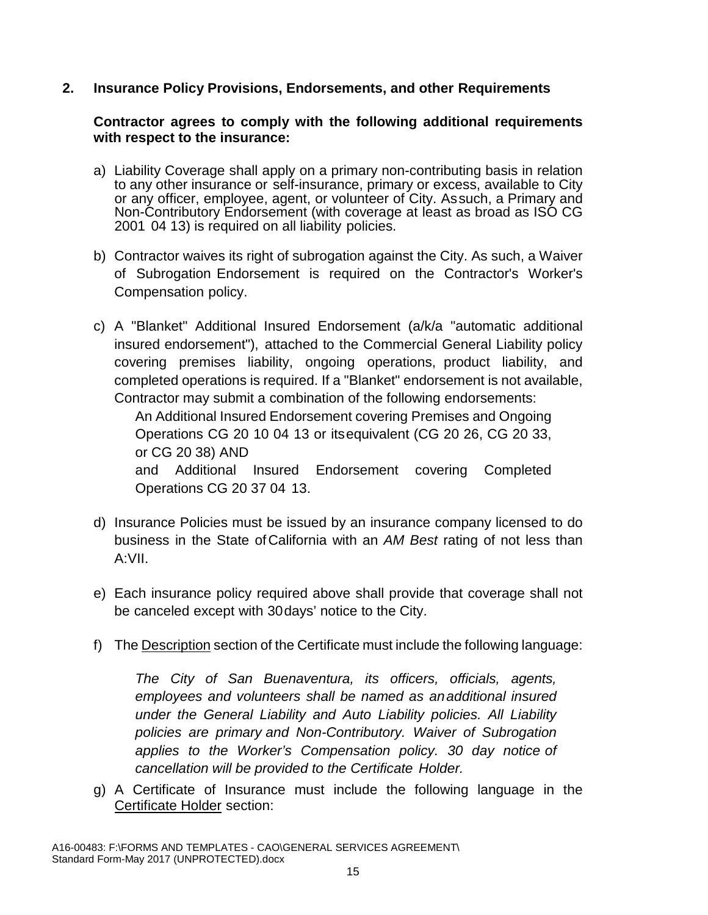### **2. Insurance Policy Provisions, Endorsements, and other Requirements**

#### **Contractor agrees to comply with the following additional requirements with respect to the insurance:**

- a) Liability Coverage shall apply on a primary non-contributing basis in relation to any other insurance or self-insurance, primary or excess, available to City or any officer, employee, agent, or volunteer of City. Assuch, a Primary and Non-Contributory Endorsement (with coverage at least as broad as ISO CG 2001 04 13) is required on all liability policies.
- b) Contractor waives its right of subrogation against the City. As such, a Waiver of Subrogation Endorsement is required on the Contractor's Worker's Compensation policy.
- c) A "Blanket" Additional Insured Endorsement (a/k/a "automatic additional insured endorsement"), attached to the Commercial General Liability policy covering premises liability, ongoing operations, product liability, and completed operations is required. If a "Blanket" endorsement is not available, Contractor may submit a combination of the following endorsements:

An Additional Insured Endorsement covering Premises and Ongoing Operations CG 20 10 04 13 or itsequivalent (CG 20 26, CG 20 33, or CG 20 38) AND

and Additional Insured Endorsement covering Completed Operations CG 20 37 04 13.

- d) Insurance Policies must be issued by an insurance company licensed to do business in the State ofCalifornia with an *AM Best* rating of not less than A:VII.
- e) Each insurance policy required above shall provide that coverage shall not be canceled except with 30days' notice to the City.
- f) The Description section of the Certificate must include the following language:

*The City of San Buenaventura, its officers, officials, agents, employees and volunteers shall be named as anadditional insured under the General Liability and Auto Liability policies. All Liability policies are primary and Non-Contributory. Waiver of Subrogation applies to the Worker's Compensation policy. 30 day notice of cancellation will be provided to the Certificate Holder.*

g) A Certificate of Insurance must include the following language in the Certificate Holder section: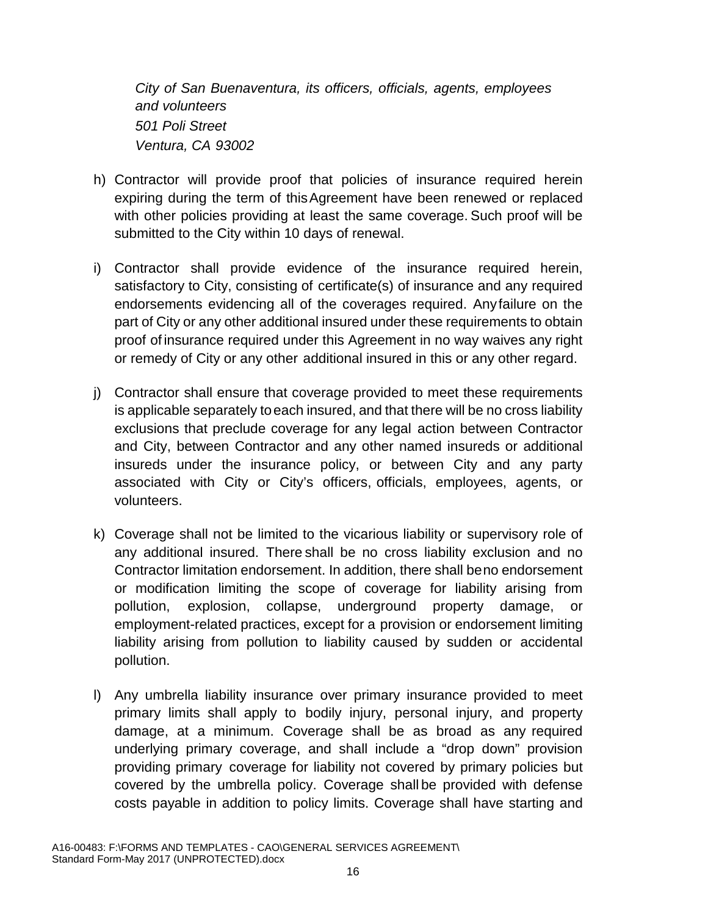*City of San Buenaventura, its officers, officials, agents, employees and volunteers 501 Poli Street Ventura, CA 93002*

- h) Contractor will provide proof that policies of insurance required herein expiring during the term of thisAgreement have been renewed or replaced with other policies providing at least the same coverage. Such proof will be submitted to the City within 10 days of renewal.
- i) Contractor shall provide evidence of the insurance required herein, satisfactory to City, consisting of certificate(s) of insurance and any required endorsements evidencing all of the coverages required. Anyfailure on the part of City or any other additional insured under these requirements to obtain proof of insurance required under this Agreement in no way waives any right or remedy of City or any other additional insured in this or any other regard.
- j) Contractor shall ensure that coverage provided to meet these requirements is applicable separately toeach insured, and that there will be no cross liability exclusions that preclude coverage for any legal action between Contractor and City, between Contractor and any other named insureds or additional insureds under the insurance policy, or between City and any party associated with City or City's officers, officials, employees, agents, or volunteers.
- k) Coverage shall not be limited to the vicarious liability or supervisory role of any additional insured. There shall be no cross liability exclusion and no Contractor limitation endorsement. In addition, there shall beno endorsement or modification limiting the scope of coverage for liability arising from pollution, explosion, collapse, underground property damage, or employment-related practices, except for a provision or endorsement limiting liability arising from pollution to liability caused by sudden or accidental pollution.
- l) Any umbrella liability insurance over primary insurance provided to meet primary limits shall apply to bodily injury, personal injury, and property damage, at a minimum. Coverage shall be as broad as any required underlying primary coverage, and shall include a "drop down" provision providing primary coverage for liability not covered by primary policies but covered by the umbrella policy. Coverage shall be provided with defense costs payable in addition to policy limits. Coverage shall have starting and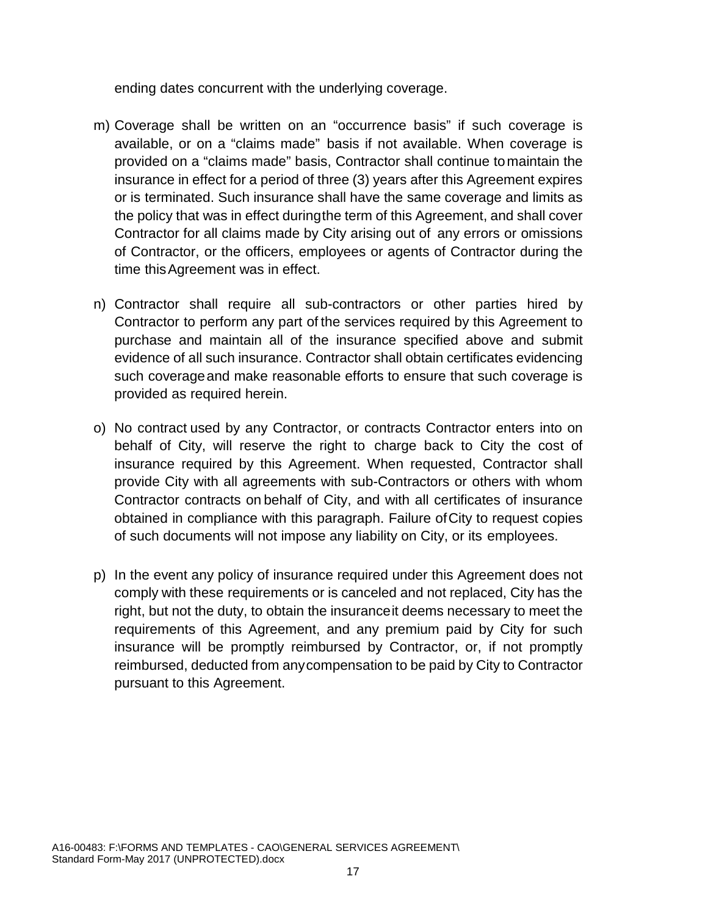ending dates concurrent with the underlying coverage.

- m) Coverage shall be written on an "occurrence basis" if such coverage is available, or on a "claims made" basis if not available. When coverage is provided on a "claims made" basis, Contractor shall continue tomaintain the insurance in effect for a period of three (3) years after this Agreement expires or is terminated. Such insurance shall have the same coverage and limits as the policy that was in effect duringthe term of this Agreement, and shall cover Contractor for all claims made by City arising out of any errors or omissions of Contractor, or the officers, employees or agents of Contractor during the time thisAgreement was in effect.
- n) Contractor shall require all sub-contractors or other parties hired by Contractor to perform any part of the services required by this Agreement to purchase and maintain all of the insurance specified above and submit evidence of all such insurance. Contractor shall obtain certificates evidencing such coverageand make reasonable efforts to ensure that such coverage is provided as required herein.
- o) No contract used by any Contractor, or contracts Contractor enters into on behalf of City, will reserve the right to charge back to City the cost of insurance required by this Agreement. When requested, Contractor shall provide City with all agreements with sub-Contractors or others with whom Contractor contracts on behalf of City, and with all certificates of insurance obtained in compliance with this paragraph. Failure ofCity to request copies of such documents will not impose any liability on City, or its employees.
- p) In the event any policy of insurance required under this Agreement does not comply with these requirements or is canceled and not replaced, City has the right, but not the duty, to obtain the insuranceit deems necessary to meet the requirements of this Agreement, and any premium paid by City for such insurance will be promptly reimbursed by Contractor, or, if not promptly reimbursed, deducted from anycompensation to be paid by City to Contractor pursuant to this Agreement.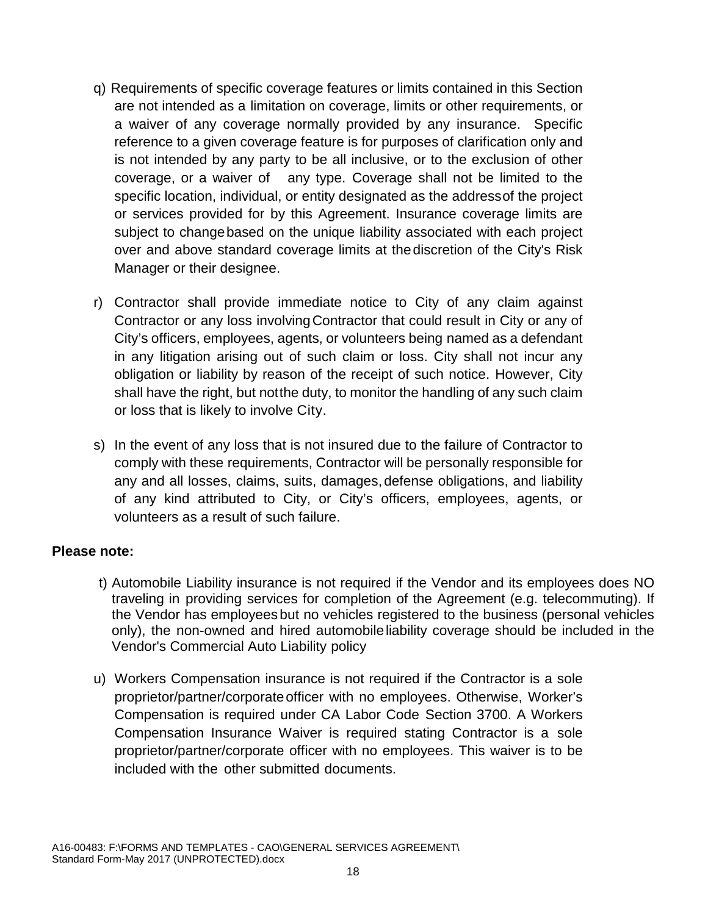- q) Requirements of specific coverage features or limits contained in this Section are not intended as a limitation on coverage, limits or other requirements, or a waiver of any coverage normally provided by any insurance. Specific reference to a given coverage feature is for purposes of clarification only and is not intended by any party to be all inclusive, or to the exclusion of other coverage, or a waiver of any type. Coverage shall not be limited to the specific location, individual, or entity designated as the addressof the project or services provided for by this Agreement. Insurance coverage limits are subject to changebased on the unique liability associated with each project over and above standard coverage limits at thediscretion of the City's Risk Manager or their designee.
- r) Contractor shall provide immediate notice to City of any claim against Contractor or any loss involvingContractor that could result in City or any of City's officers, employees, agents, or volunteers being named as a defendant in any litigation arising out of such claim or loss. City shall not incur any obligation or liability by reason of the receipt of such notice. However, City shall have the right, but notthe duty, to monitor the handling of any such claim or loss that is likely to involve City.
- s) In the event of any loss that is not insured due to the failure of Contractor to comply with these requirements, Contractor will be personally responsible for any and all losses, claims, suits, damages, defense obligations, and liability of any kind attributed to City, or City's officers, employees, agents, or volunteers as a result of such failure.

#### **Please note:**

- t) Automobile Liability insurance is not required if the Vendor and its employees does NO traveling in providing services for completion of the Agreement (e.g. telecommuting). If the Vendor has employees but no vehicles registered to the business (personal vehicles only), the non-owned and hired automobileliability coverage should be included in the Vendor's Commercial Auto Liability policy
- u) Workers Compensation insurance is not required if the Contractor is a sole proprietor/partner/corporateofficer with no employees. Otherwise, Worker's Compensation is required under CA Labor Code Section 3700. A Workers Compensation Insurance Waiver is required stating Contractor is a sole proprietor/partner/corporate officer with no employees. This waiver is to be included with the other submitted documents.